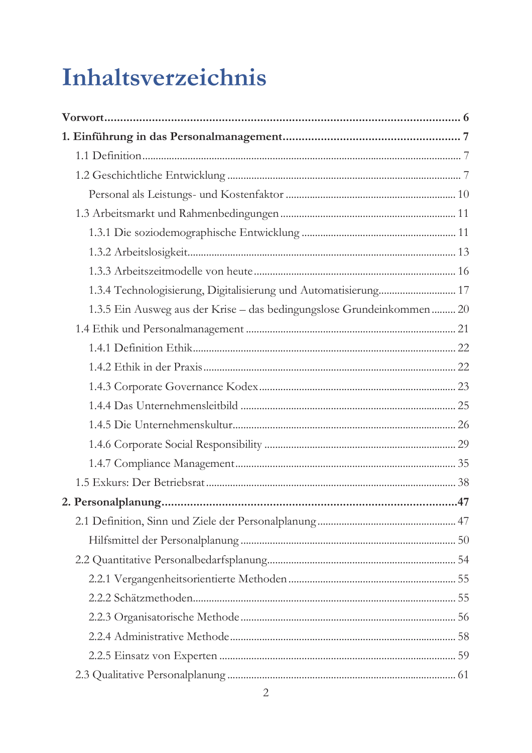# Inhaltsverzeichnis

| 1.3.4 Technologisierung, Digitalisierung und Automatisierung 17       |  |
|-----------------------------------------------------------------------|--|
| 1.3.5 Ein Ausweg aus der Krise – das bedingungslose Grundeinkommen 20 |  |
|                                                                       |  |
|                                                                       |  |
|                                                                       |  |
|                                                                       |  |
|                                                                       |  |
|                                                                       |  |
|                                                                       |  |
|                                                                       |  |
|                                                                       |  |
|                                                                       |  |
|                                                                       |  |
|                                                                       |  |
|                                                                       |  |
|                                                                       |  |
|                                                                       |  |
|                                                                       |  |
|                                                                       |  |
|                                                                       |  |
|                                                                       |  |
| 2                                                                     |  |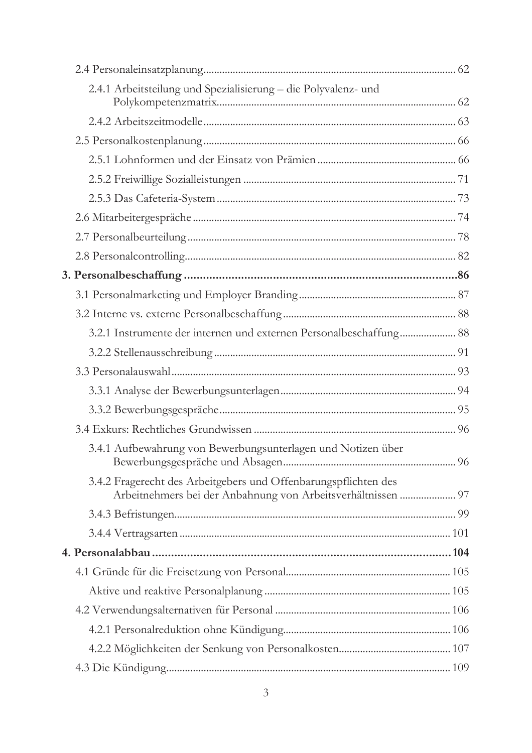| 2.4.1 Arbeitsteilung und Spezialisierung - die Polyvalenz- und                                                                  |  |
|---------------------------------------------------------------------------------------------------------------------------------|--|
|                                                                                                                                 |  |
|                                                                                                                                 |  |
|                                                                                                                                 |  |
|                                                                                                                                 |  |
|                                                                                                                                 |  |
|                                                                                                                                 |  |
|                                                                                                                                 |  |
|                                                                                                                                 |  |
|                                                                                                                                 |  |
|                                                                                                                                 |  |
|                                                                                                                                 |  |
| 3.2.1 Instrumente der internen und externen Personalbeschaffung 88                                                              |  |
|                                                                                                                                 |  |
|                                                                                                                                 |  |
|                                                                                                                                 |  |
|                                                                                                                                 |  |
|                                                                                                                                 |  |
| 3.4.1 Aufbewahrung von Bewerbungsunterlagen und Notizen über                                                                    |  |
| 3.4.2 Fragerecht des Arbeitgebers und Offenbarungspflichten des<br>Arbeitnehmers bei der Anbahnung von Arbeitsverhältnissen  97 |  |
|                                                                                                                                 |  |
|                                                                                                                                 |  |
|                                                                                                                                 |  |
|                                                                                                                                 |  |
|                                                                                                                                 |  |
|                                                                                                                                 |  |
|                                                                                                                                 |  |
|                                                                                                                                 |  |
|                                                                                                                                 |  |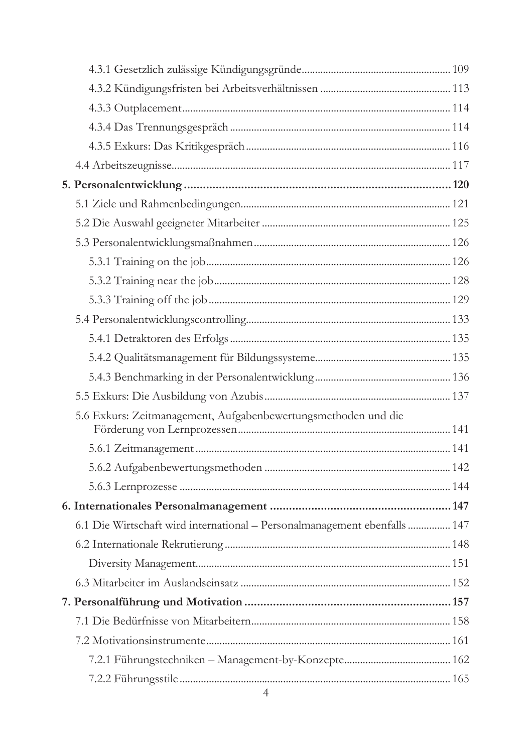| 5.6 Exkurs: Zeitmanagement, Aufgabenbewertungsmethoden und die            |  |
|---------------------------------------------------------------------------|--|
|                                                                           |  |
|                                                                           |  |
|                                                                           |  |
|                                                                           |  |
| 6.1 Die Wirtschaft wird international - Personalmanagement ebenfalls  147 |  |
|                                                                           |  |
|                                                                           |  |
|                                                                           |  |
|                                                                           |  |
|                                                                           |  |
|                                                                           |  |
|                                                                           |  |
|                                                                           |  |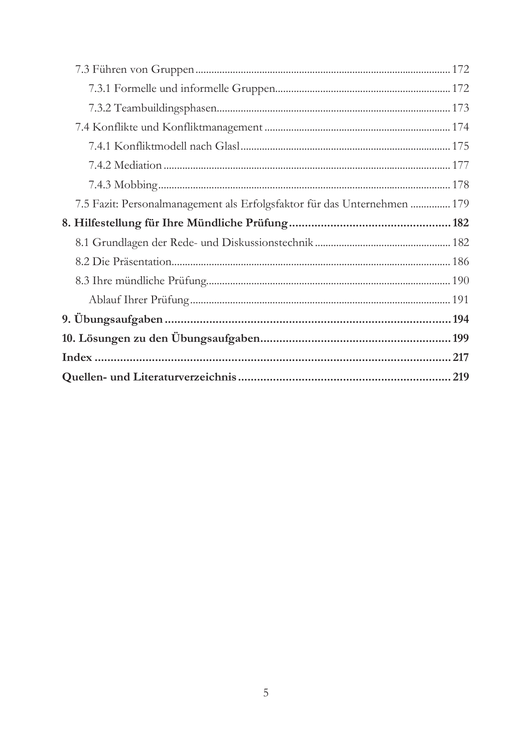| 7.5 Fazit: Personalmanagement als Erfolgsfaktor für das Unternehmen  179 |  |
|--------------------------------------------------------------------------|--|
|                                                                          |  |
|                                                                          |  |
|                                                                          |  |
|                                                                          |  |
|                                                                          |  |
|                                                                          |  |
|                                                                          |  |
|                                                                          |  |
|                                                                          |  |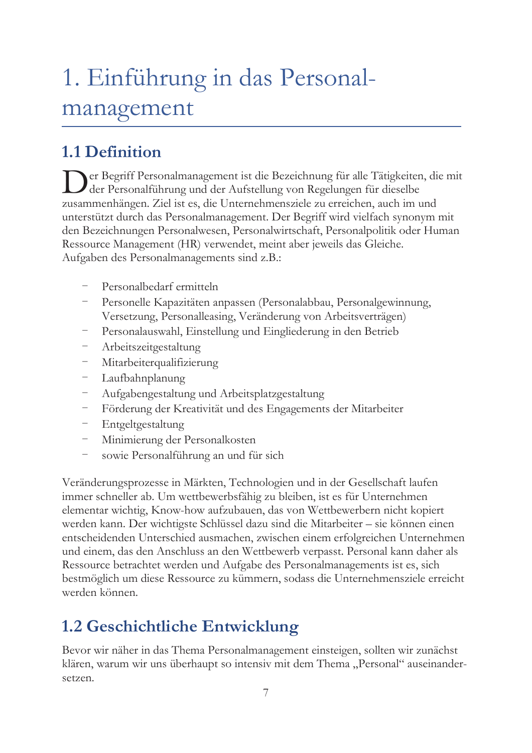# 1. Einführung in das Personalmanagement

# 1.1 Definition

er Begriff Personalmanagement ist die Bezeichnung für alle Tätigkeiten, die mit der Personalführung und der Aufstellung von Regelungen für dieselbe zusammenhängen. Ziel ist es, die Unternehmensziele zu erreichen, auch im und unterstützt durch das Personalmanagement. Der Begriff wird vielfach synonym mit den Bezeichnungen Personalwesen, Personalwirtschaft, Personalpolitik oder Human Ressource Management (HR) verwendet, meint aber jeweils das Gleiche. Aufgaben des Personalmanagements sind z.B.:

- Personalbedarf ermitteln
- Personelle Kapazitäten anpassen (Personalabbau, Personalgewinnung, Versetzung, Personalleasing, Veränderung von Arbeitsverträgen)
- Personalauswahl, Einstellung und Eingliederung in den Betrieb
- Arbeitszeitgestaltung
- Mitarbeiterqualifizierung
- Laufbahnplanung
- Aufgabengestaltung und Arbeitsplatzgestaltung
- Förderung der Kreativität und des Engagements der Mitarbeiter
- Entgeltgestaltung
- $\frac{1}{2}$ Minimierung der Personalkosten
- sowie Personalführung an und für sich

Veränderungsprozesse in Märkten, Technologien und in der Gesellschaft laufen immer schneller ab. Um wettbewerbsfähig zu bleiben, ist es für Unternehmen elementar wichtig, Know-how aufzubauen, das von Wettbewerbern nicht kopiert werden kann. Der wichtigste Schlüssel dazu sind die Mitarbeiter - sie können einen entscheidenden Unterschied ausmachen, zwischen einem erfolgreichen Unternehmen und einem, das den Anschluss an den Wettbewerb verpasst. Personal kann daher als Ressource betrachtet werden und Aufgabe des Personalmanagements ist es, sich bestmöglich um diese Ressource zu kümmern, sodass die Unternehmensziele erreicht werden können.

## 1.2 Geschichtliche Entwicklung

Bevor wir näher in das Thema Personalmanagement einsteigen, sollten wir zunächst klären, warum wir uns überhaupt so intensiv mit dem Thema "Personal" auseinandersetzen.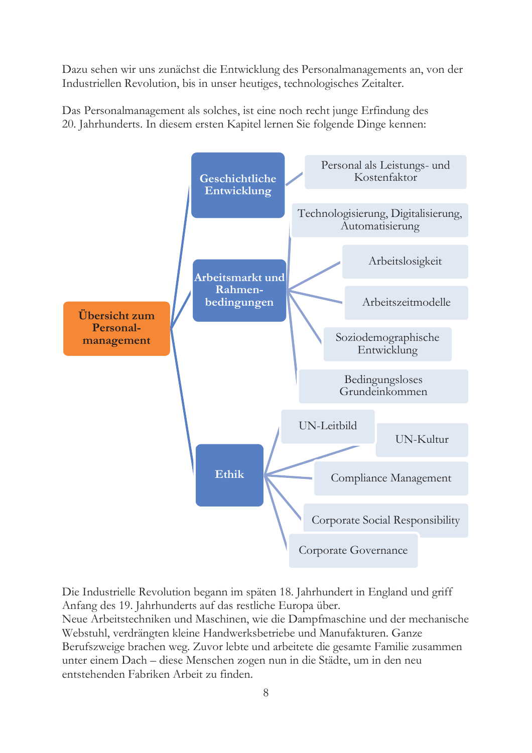Dazu sehen wir uns zunächst die Entwicklung des Personalmanagements an, von der Industriellen Revolution, bis in unser heutiges, technologisches Zeitalter.

Das Personalmanagement als solches, ist eine noch recht junge Erfindung des 20. Jahrhunderts. In diesem ersten Kapitel lernen Sie folgende Dinge kennen:



Die Industrielle Revolution begann im späten 18. Jahrhundert in England und griff Anfang des 19. Jahrhunderts auf das restliche Europa über.

Neue Arbeitstechniken und Maschinen, wie die Dampfmaschine und der mechanische Webstuhl, verdrängten kleine Handwerksbetriebe und Manufakturen. Ganze Berufszweige brachen weg. Zuvor lebte und arbeitete die gesamte Familie zusammen unter einem Dach – diese Menschen zogen nun in die Städte, um in den neu entstehenden Fabriken Arbeit zu finden.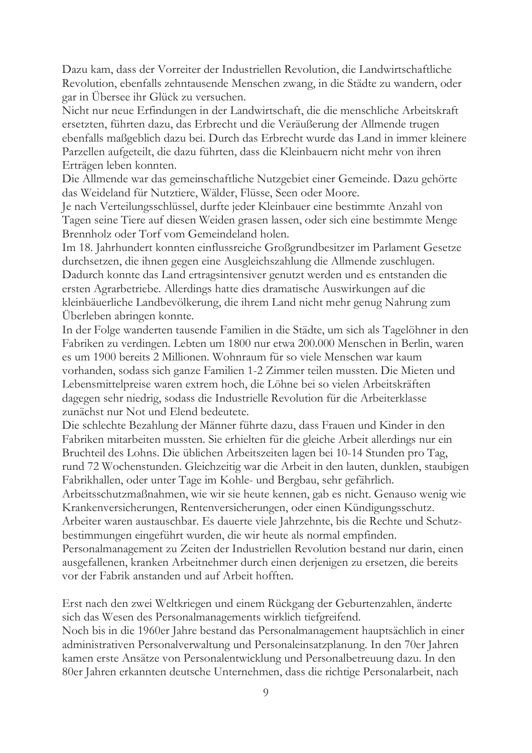Dazu kam, dass der Vorreiter der Industriellen Revolution, die Landwirtschaftliche Revolution, ebenfalls zehntausende Menschen zwang, in die Städte zu wandern, oder gar in Übersee ihr Glück zu versuchen.

Nicht nur neue Erfindungen in der Landwirtschaft, die die menschliche Arbeitskraft ersetzten, führten dazu, das Erbrecht und die Veräußerung der Allmende trugen ebenfalls maßgeblich dazu bei. Durch das Erbrecht wurde das Land in immer kleinere Parzellen aufgeteilt, die dazu führten, dass die Kleinbauern nicht mehr von ihren Erträgen leben konnten.

Die Allmende war das gemeinschaftliche Nutzgebiet einer Gemeinde. Dazu gehörte das Weideland für Nutztiere, Wälder, Flüsse, Seen oder Moore.

Je nach Verteilungsschlüssel, durfte jeder Kleinbauer eine bestimmte Anzahl von Tagen seine Tiere auf diesen Weiden grasen lassen, oder sich eine bestimmte Menge Brennholz oder Torf vom Gemeindeland holen.

Im 18. Jahrhundert konnten einflussreiche Großgrundbesitzer im Parlament Gesetze durchsetzen, die ihnen gegen eine Ausgleichszahlung die Allmende zuschlugen. Dadurch konnte das Land ertragsintensiver genutzt werden und es entstanden die ersten Agrarbetriebe. Allerdings hatte dies dramatische Auswirkungen auf die kleinbäuerliche Landbevölkerung, die ihrem Land nicht mehr genug Nahrung zum Uberleben abringen konnte.

In der Folge wanderten tausende Familien in die Städte, um sich als Tagelöhner in den Fabriken zu verdingen. Lebten um 1800 nur etwa 200.000 Menschen in Berlin, waren es um 1900 bereits 2 Millionen. Wohnraum für so viele Menschen war kaum vorhanden, sodass sich ganze Familien 1-2 Zimmer teilen mussten. Die Mieten und Lebensmittelpreise waren extrem hoch, die Löhne bei so vielen Arbeitskräften dagegen sehr niedrig, sodass die Industrielle Revolution für die Arbeiterklasse zunächst nur Not und Elend bedeutete.

Die schlechte Bezahlung der Männer führte dazu, dass Frauen und Kinder in den Fabriken mitarbeiten mussten. Sie erhielten für die gleiche Arbeit allerdings nur ein Bruchteil des Lohns. Die üblichen Arbeitszeiten lagen bei 10-14 Stunden pro Tag, rund 72 Wochenstunden. Gleichzeitig war die Arbeit in den lauten, dunklen, staubigen Fabrikhallen, oder unter Tage im Kohle- und Bergbau, sehr gefährlich.

Arbeitsschutzmaßnahmen, wie wir sie heute kennen, gab es nicht. Genauso wenig wie Krankenversicherungen, Rentenversicherungen, oder einen Kündigungsschutz. Arbeiter waren austauschbar. Es dauerte viele Jahrzehnte, bis die Rechte und Schutz-

bestimmungen eingeführt wurden, die wir heute als normal empfinden.

Personalmanagement zu Zeiten der Industriellen Revolution bestand nur darin, einen ausgefallenen, kranken Arbeitnehmer durch einen derjenigen zu ersetzen, die bereits vor der Fabrik anstanden und auf Arbeit hofften.

Erst nach den zwei Weltkriegen und einem Rückgang der Geburtenzahlen, änderte sich das Wesen des Personalmanagements wirklich tiefgreifend.

Noch bis in die 1960er Jahre bestand das Personalmanagement hauptsächlich in einer administrativen Personalverwaltung und Personaleinsatzplanung. In den 70er Jahren kamen erste Ansätze von Personalentwicklung und Personalbetreuung dazu. In den 80er Jahren erkannten deutsche Unternehmen, dass die richtige Personalarbeit, nach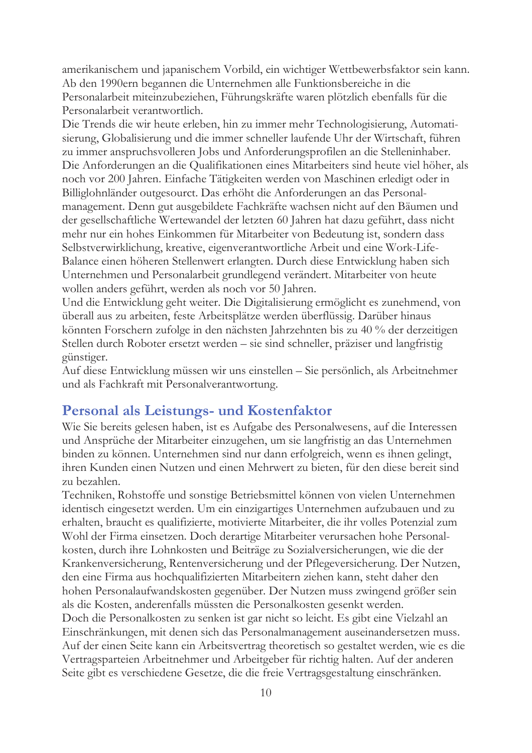amerikanischem und japanischem Vorbild, ein wichtiger Wettbewerbsfaktor sein kann. Ab den 1990ern begannen die Unternehmen alle Funktionsbereiche in die Personalarbeit miteinzubeziehen, Führungskräfte waren plötzlich ebenfalls für die Personalarbeit verantwortlich.

Die Trends die wir heute erleben, hin zu immer mehr Technologisierung, Automatisierung, Globalisierung und die immer schneller laufende Uhr der Wirtschaft, führen zu immer anspruchsvolleren Jobs und Anforderungsprofilen an die Stelleninhaber. Die Anforderungen an die Qualifikationen eines Mitarbeiters sind heute viel höher, als noch vor 200 Jahren. Einfache Tätigkeiten werden von Maschinen erledigt oder in Billiglohnländer outgesourct. Das erhöht die Anforderungen an das Personalmanagement. Denn gut ausgebildete Fachkräfte wachsen nicht auf den Bäumen und der gesellschaftliche Wertewandel der letzten 60 Jahren hat dazu geführt, dass nicht mehr nur ein hohes Einkommen für Mitarbeiter von Bedeutung ist, sondern dass Selbstverwirklichung, kreative, eigenverantwortliche Arbeit und eine Work-Life-Balance einen höheren Stellenwert erlangten. Durch diese Entwicklung haben sich Unternehmen und Personalarbeit grundlegend verändert. Mitarbeiter von heute wollen anders geführt, werden als noch vor 50 Jahren.

Und die Entwicklung geht weiter. Die Digitalisierung ermöglicht es zunehmend, von überall aus zu arbeiten, feste Arbeitsplätze werden überflüssig. Darüber hinaus könnten Forschern zufolge in den nächsten Jahrzehnten bis zu 40 % der derzeitigen Stellen durch Roboter ersetzt werden – sie sind schneller, präziser und langfristig günstiger.

Auf diese Entwicklung müssen wir uns einstellen – Sie persönlich, als Arbeitnehmer und als Fachkraft mit Personalverantwortung.

#### Personal als Leistungs- und Kostenfaktor

Wie Sie bereits gelesen haben, ist es Aufgabe des Personalwesens, auf die Interessen und Ansprüche der Mitarbeiter einzugehen, um sie langfristig an das Unternehmen binden zu können. Unternehmen sind nur dann erfolgreich, wenn es ihnen gelingt, ihren Kunden einen Nutzen und einen Mehrwert zu bieten, für den diese bereit sind zu bezahlen.

Techniken, Rohstoffe und sonstige Betriebsmittel können von vielen Unternehmen identisch eingesetzt werden. Um ein einzigartiges Unternehmen aufzubauen und zu erhalten, braucht es qualifizierte, motivierte Mitarbeiter, die ihr volles Potenzial zum Wohl der Firma einsetzen. Doch derartige Mitarbeiter verursachen hohe Personalkosten, durch ihre Lohnkosten und Beiträge zu Sozialversicherungen, wie die der Krankenversicherung, Rentenversicherung und der Pflegeversicherung. Der Nutzen, den eine Firma aus hochqualifizierten Mitarbeitern ziehen kann, steht daher den hohen Personalaufwandskosten gegenüber. Der Nutzen muss zwingend größer sein als die Kosten, anderenfalls müssten die Personalkosten gesenkt werden. Doch die Personalkosten zu senken ist gar nicht so leicht. Es gibt eine Vielzahl an Einschränkungen, mit denen sich das Personalmanagement auseinandersetzen muss. Auf der einen Seite kann ein Arbeitsvertrag theoretisch so gestaltet werden, wie es die Vertragsparteien Arbeitnehmer und Arbeitgeber für richtig halten. Auf der anderen Seite gibt es verschiedene Gesetze, die die freie Vertragsgestaltung einschränken.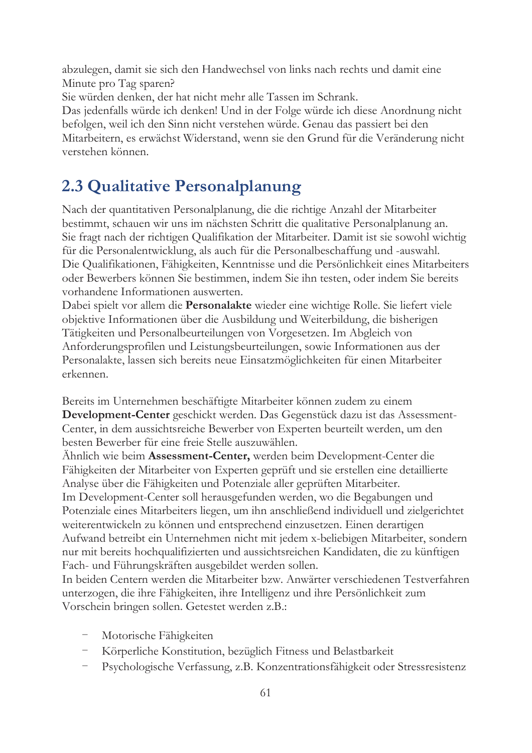abzulegen, damit sie sich den Handwechsel von links nach rechts und damit eine Minute pro Tag sparen?

Sie würden denken, der hat nicht mehr alle Tassen im Schrank.

Das jedenfalls würde ich denken! Und in der Folge würde ich diese Anordnung nicht befolgen, weil ich den Sinn nicht verstehen würde. Genau das passiert bei den Mitarbeitern, es erwächst Widerstand, wenn sie den Grund für die Veränderung nicht verstehen können.

## 2.3 Qualitative Personalplanung

Nach der quantitativen Personalplanung, die die richtige Anzahl der Mitarbeiter bestimmt, schauen wir uns im nächsten Schritt die qualitative Personalplanung an. Sie fragt nach der richtigen Qualifikation der Mitarbeiter. Damit ist sie sowohl wichtig für die Personalentwicklung, als auch für die Personalbeschaffung und -auswahl. Die Qualifikationen, Fähigkeiten, Kenntnisse und die Persönlichkeit eines Mitarbeiters oder Bewerbers können Sie bestimmen, indem Sie ihn testen, oder indem Sie bereits vorhandene Informationen auswerten.

Dabei spielt vor allem die Personalakte wieder eine wichtige Rolle. Sie liefert viele objektive Informationen über die Ausbildung und Weiterbildung, die bisherigen Tätigkeiten und Personalbeurteilungen von Vorgesetzen. Im Abgleich von Anforderungsprofilen und Leistungsbeurteilungen, sowie Informationen aus der Personalakte, lassen sich bereits neue Einsatzmöglichkeiten für einen Mitarbeiter erkennen.

Bereits im Unternehmen beschäftigte Mitarbeiter können zudem zu einem Development-Center geschickt werden. Das Gegenstück dazu ist das Assessment-Center, in dem aussichtsreiche Bewerber von Experten beurteilt werden, um den besten Bewerber für eine freie Stelle auszuwählen.

Ähnlich wie beim Assessment-Center, werden beim Development-Center die Fähigkeiten der Mitarbeiter von Experten geprüft und sie erstellen eine detaillierte Analyse über die Fähigkeiten und Potenziale aller geprüften Mitarbeiter. Im Development-Center soll herausgefunden werden, wo die Begabungen und Potenziale eines Mitarbeiters liegen, um ihn anschließend individuell und zielgerichtet weiterentwickeln zu können und entsprechend einzusetzen. Einen derartigen Aufwand betreibt ein Unternehmen nicht mit jedem x-beliebigen Mitarbeiter, sondern nur mit bereits hochqualifizierten und aussichtsreichen Kandidaten, die zu künftigen

Fach- und Führungskräften ausgebildet werden sollen.

In beiden Centern werden die Mitarbeiter bzw. Anwärter verschiedenen Testverfahren unterzogen, die ihre Fähigkeiten, ihre Intelligenz und ihre Persönlichkeit zum Vorschein bringen sollen. Getestet werden z.B.:

- Motorische Fähigkeiten
- Körperliche Konstitution, bezüglich Fitness und Belastbarkeit
- Psychologische Verfassung, z.B. Konzentrationsfähigkeit oder Stressresistenz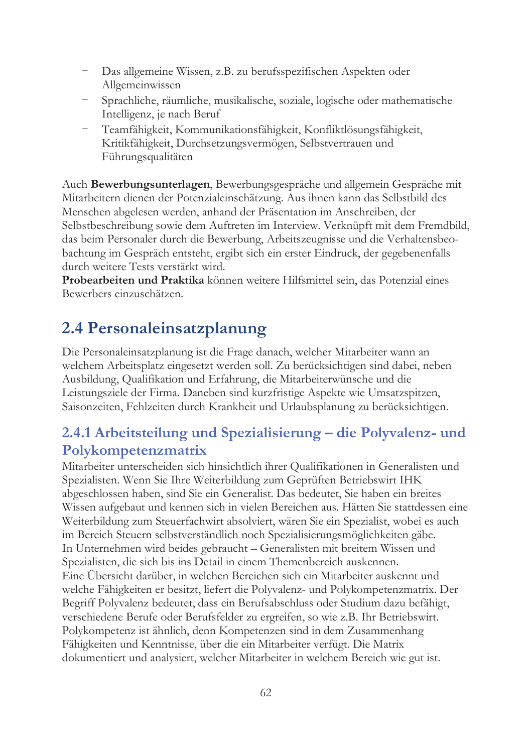- Das allgemeine Wissen, z.B. zu berufsspezifischen Aspekten oder Allgemeinwissen
- Sprachliche, räumliche, musikalische, soziale, logische oder mathematische Intelligenz, je nach Beruf
- Teamfähigkeit, Kommunikationsfähigkeit, Konfliktlösungsfähigkeit, Kritikfähigkeit, Durchsetzungsvermögen, Selbstvertrauen und Führungsqualitäten

Auch Bewerbungsunterlagen, Bewerbungsgespräche und allgemein Gespräche mit Mitarbeitern dienen der Potenzialeinschätzung. Aus ihnen kann das Selbstbild des Menschen abgelesen werden, anhand der Präsentation im Anschreiben, der Selbstbeschreibung sowie dem Auftreten im Interview. Verknüpft mit dem Fremdbild, das beim Personaler durch die Bewerbung, Arbeitszeugnisse und die Verhaltensbeobachtung im Gespräch entsteht, ergibt sich ein erster Eindruck, der gegebenenfalls durch weitere Tests verstärkt wird.

Probearbeiten und Praktika können weitere Hilfsmittel sein, das Potenzial eines Bewerbers einzuschätzen.

## 2.4 Personaleinsatzplanung

Die Personaleinsatzplanung ist die Frage danach, welcher Mitarbeiter wann an welchem Arbeitsplatz eingesetzt werden soll. Zu berücksichtigen sind dabei, neben Ausbildung, Qualifikation und Erfahrung, die Mitarbeiterwünsche und die Leistungsziele der Firma. Daneben sind kurzfristige Aspekte wie Umsatzspitzen, Saisonzeiten, Fehlzeiten durch Krankheit und Urlaubsplanung zu berücksichtigen.

#### 2.4.1 Arbeitsteilung und Spezialisierung - die Polyvalenz- und Polykompetenzmatrix

Mitarbeiter unterscheiden sich hinsichtlich ihrer Qualifikationen in Generalisten und Spezialisten. Wenn Sie Ihre Weiterbildung zum Geprüften Betriebswirt IHK abgeschlossen haben, sind Sie ein Generalist. Das bedeutet, Sie haben ein breites Wissen aufgebaut und kennen sich in vielen Bereichen aus. Hätten Sie stattdessen eine Weiterbildung zum Steuerfachwirt absolviert, wären Sie ein Spezialist, wobei es auch im Bereich Steuern selbstverständlich noch Spezialisierungsmöglichkeiten gäbe. In Unternehmen wird beides gebraucht - Generalisten mit breitem Wissen und Spezialisten, die sich bis ins Detail in einem Themenbereich auskennen. Eine Übersicht darüber, in welchen Bereichen sich ein Mitarbeiter auskennt und welche Fähigkeiten er besitzt, liefert die Polyvalenz- und Polykompetenzmatrix. Der Begriff Polyvalenz bedeutet, dass ein Berufsabschluss oder Studium dazu befähigt, verschiedene Berufe oder Berufsfelder zu ergreifen, so wie z.B. Ihr Betriebswirt. Polykompetenz ist ähnlich, denn Kompetenzen sind in dem Zusammenhang Fähigkeiten und Kenntnisse, über die ein Mitarbeiter verfügt. Die Matrix dokumentiert und analysiert, welcher Mitarbeiter in welchem Bereich wie gut ist.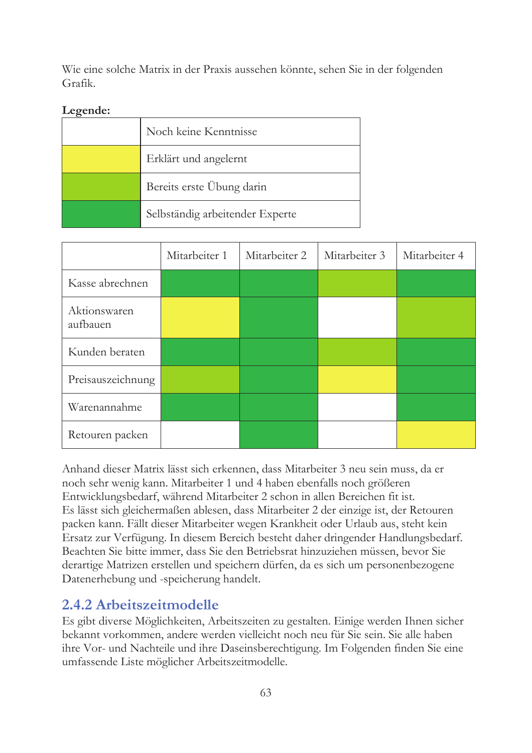Wie eine solche Matrix in der Praxis aussehen könnte, sehen Sie in der folgenden Grafik.

#### Legende:

| Noch keine Kenntnisse           |
|---------------------------------|
| Erklärt und angelernt           |
| Bereits erste Übung darin       |
| Selbständig arbeitender Experte |

|                          | Mitarbeiter 1 | Mitarbeiter 2 | Mitarbeiter 3 | Mitarbeiter 4 |
|--------------------------|---------------|---------------|---------------|---------------|
| Kasse abrechnen          |               |               |               |               |
| Aktionswaren<br>aufbauen |               |               |               |               |
| Kunden beraten           |               |               |               |               |
| Preisauszeichnung        |               |               |               |               |
| Warenannahme             |               |               |               |               |
| Retouren packen          |               |               |               |               |

Anhand dieser Matrix lässt sich erkennen, dass Mitarbeiter 3 neu sein muss, da er noch sehr wenig kann. Mitarbeiter 1 und 4 haben ebenfalls noch größeren Entwicklungsbedarf, während Mitarbeiter 2 schon in allen Bereichen fit ist. Es lässt sich gleichermaßen ablesen, dass Mitarbeiter 2 der einzige ist, der Retouren packen kann. Fällt dieser Mitarbeiter wegen Krankheit oder Urlaub aus, steht kein Ersatz zur Verfügung. In diesem Bereich besteht daher dringender Handlungsbedarf. Beachten Sie bitte immer, dass Sie den Betriebsrat hinzuziehen müssen, bevor Sie derartige Matrizen erstellen und speichern dürfen, da es sich um personenbezogene Datenerhebung und -speicherung handelt.

#### 2.4.2 Arbeitszeitmodelle

Es gibt diverse Möglichkeiten, Arbeitszeiten zu gestalten. Einige werden Ihnen sicher bekannt vorkommen, andere werden vielleicht noch neu für Sie sein. Sie alle haben ihre Vor- und Nachteile und ihre Daseinsberechtigung. Im Folgenden finden Sie eine umfassende Liste möglicher Arbeitszeitmodelle.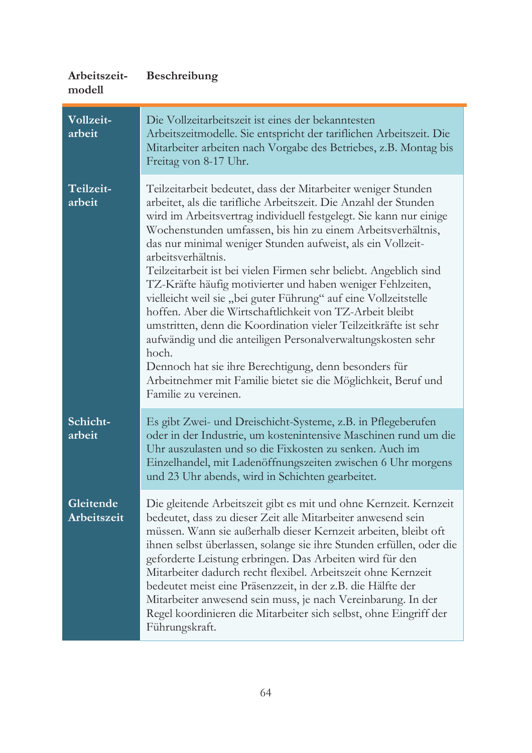| Arbeitszeit-<br>modell   | <b>Beschreibung</b>                                                                                                                                                                                                                                                                                                                                                                                                                                                                                                                                                                                                                                                                                                                                                                                                                                                                                                          |
|--------------------------|------------------------------------------------------------------------------------------------------------------------------------------------------------------------------------------------------------------------------------------------------------------------------------------------------------------------------------------------------------------------------------------------------------------------------------------------------------------------------------------------------------------------------------------------------------------------------------------------------------------------------------------------------------------------------------------------------------------------------------------------------------------------------------------------------------------------------------------------------------------------------------------------------------------------------|
| Vollzeit-<br>arbeit      | Die Vollzeitarbeitszeit ist eines der bekanntesten<br>Arbeitszeitmodelle. Sie entspricht der tariflichen Arbeitszeit. Die<br>Mitarbeiter arbeiten nach Vorgabe des Betriebes, z.B. Montag bis<br>Freitag von 8-17 Uhr.                                                                                                                                                                                                                                                                                                                                                                                                                                                                                                                                                                                                                                                                                                       |
| Teilzeit-<br>arbeit      | Teilzeitarbeit bedeutet, dass der Mitarbeiter weniger Stunden<br>arbeitet, als die tarifliche Arbeitszeit. Die Anzahl der Stunden<br>wird im Arbeitsvertrag individuell festgelegt. Sie kann nur einige<br>Wochenstunden umfassen, bis hin zu einem Arbeitsverhältnis,<br>das nur minimal weniger Stunden aufweist, als ein Vollzeit-<br>arbeitsverhältnis.<br>Teilzeitarbeit ist bei vielen Firmen sehr beliebt. Angeblich sind<br>TZ-Kräfte häufig motivierter und haben weniger Fehlzeiten,<br>vielleicht weil sie "bei guter Führung" auf eine Vollzeitstelle<br>hoffen. Aber die Wirtschaftlichkeit von TZ-Arbeit bleibt<br>umstritten, denn die Koordination vieler Teilzeitkräfte ist sehr<br>aufwändig und die anteiligen Personalverwaltungskosten sehr<br>hoch.<br>Dennoch hat sie ihre Berechtigung, denn besonders für<br>Arbeitnehmer mit Familie bietet sie die Möglichkeit, Beruf und<br>Familie zu vereinen. |
| Schicht-<br>arbeit       | Es gibt Zwei- und Dreischicht-Systeme, z.B. in Pflegeberufen<br>oder in der Industrie, um kostenintensive Maschinen rund um die<br>Uhr auszulasten und so die Fixkosten zu senken. Auch im<br>Einzelhandel, mit Ladenöffnungszeiten zwischen 6 Uhr morgens<br>und 23 Uhr abends, wird in Schichten gearbeitet.                                                                                                                                                                                                                                                                                                                                                                                                                                                                                                                                                                                                               |
| Gleitende<br>Arbeitszeit | Die gleitende Arbeitszeit gibt es mit und ohne Kernzeit. Kernzeit<br>bedeutet, dass zu dieser Zeit alle Mitarbeiter anwesend sein<br>müssen. Wann sie außerhalb dieser Kernzeit arbeiten, bleibt oft<br>ihnen selbst überlassen, solange sie ihre Stunden erfüllen, oder die<br>geforderte Leistung erbringen. Das Arbeiten wird für den<br>Mitarbeiter dadurch recht flexibel. Arbeitszeit ohne Kernzeit<br>bedeutet meist eine Präsenzzeit, in der z.B. die Hälfte der<br>Mitarbeiter anwesend sein muss, je nach Vereinbarung. In der<br>Regel koordinieren die Mitarbeiter sich selbst, ohne Eingriff der<br>Führungskraft.                                                                                                                                                                                                                                                                                              |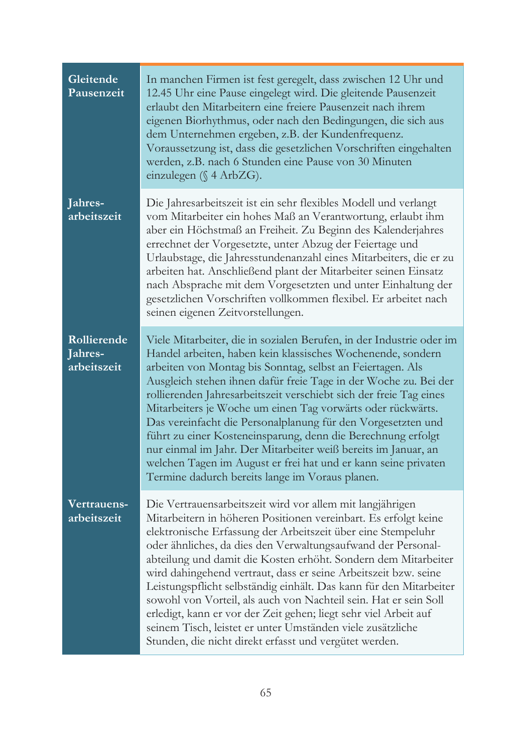| Gleitende<br>Pausenzeit               | In manchen Firmen ist fest geregelt, dass zwischen 12 Uhr und<br>12.45 Uhr eine Pause eingelegt wird. Die gleitende Pausenzeit<br>erlaubt den Mitarbeitern eine freiere Pausenzeit nach ihrem<br>eigenen Biorhythmus, oder nach den Bedingungen, die sich aus<br>dem Unternehmen ergeben, z.B. der Kundenfrequenz.<br>Voraussetzung ist, dass die gesetzlichen Vorschriften eingehalten<br>werden, z.B. nach 6 Stunden eine Pause von 30 Minuten<br>einzulegen ( $\$ 4 ArbZG).                                                                                                                                                                                                                                                          |
|---------------------------------------|-----------------------------------------------------------------------------------------------------------------------------------------------------------------------------------------------------------------------------------------------------------------------------------------------------------------------------------------------------------------------------------------------------------------------------------------------------------------------------------------------------------------------------------------------------------------------------------------------------------------------------------------------------------------------------------------------------------------------------------------|
| Jahres-<br>arbeitszeit                | Die Jahresarbeitszeit ist ein sehr flexibles Modell und verlangt<br>vom Mitarbeiter ein hohes Maß an Verantwortung, erlaubt ihm<br>aber ein Höchstmaß an Freiheit. Zu Beginn des Kalenderjahres<br>errechnet der Vorgesetzte, unter Abzug der Feiertage und<br>Urlaubstage, die Jahresstundenanzahl eines Mitarbeiters, die er zu<br>arbeiten hat. Anschließend plant der Mitarbeiter seinen Einsatz<br>nach Absprache mit dem Vorgesetzten und unter Einhaltung der<br>gesetzlichen Vorschriften vollkommen flexibel. Er arbeitet nach<br>seinen eigenen Zeitvorstellungen.                                                                                                                                                            |
| Rollierende<br>Jahres-<br>arbeitszeit | Viele Mitarbeiter, die in sozialen Berufen, in der Industrie oder im<br>Handel arbeiten, haben kein klassisches Wochenende, sondern<br>arbeiten von Montag bis Sonntag, selbst an Feiertagen. Als<br>Ausgleich stehen ihnen dafür freie Tage in der Woche zu. Bei der<br>rollierenden Jahresarbeitszeit verschiebt sich der freie Tag eines<br>Mitarbeiters je Woche um einen Tag vorwärts oder rückwärts.<br>Das vereinfacht die Personalplanung für den Vorgesetzten und<br>führt zu einer Kosteneinsparung, denn die Berechnung erfolgt<br>nur einmal im Jahr. Der Mitarbeiter weiß bereits im Januar, an<br>welchen Tagen im August er frei hat und er kann seine privaten<br>Termine dadurch bereits lange im Voraus planen.       |
| Vertrauens-<br>arbeitszeit            | Die Vertrauensarbeitszeit wird vor allem mit langjährigen<br>Mitarbeitern in höheren Positionen vereinbart. Es erfolgt keine<br>elektronische Erfassung der Arbeitszeit über eine Stempeluhr<br>oder ähnliches, da dies den Verwaltungsaufwand der Personal-<br>abteilung und damit die Kosten erhöht. Sondern dem Mitarbeiter<br>wird dahingehend vertraut, dass er seine Arbeitszeit bzw. seine<br>Leistungspflicht selbständig einhält. Das kann für den Mitarbeiter<br>sowohl von Vorteil, als auch von Nachteil sein. Hat er sein Soll<br>erledigt, kann er vor der Zeit gehen; liegt sehr viel Arbeit auf<br>seinem Tisch, leistet er unter Umständen viele zusätzliche<br>Stunden, die nicht direkt erfasst und vergütet werden. |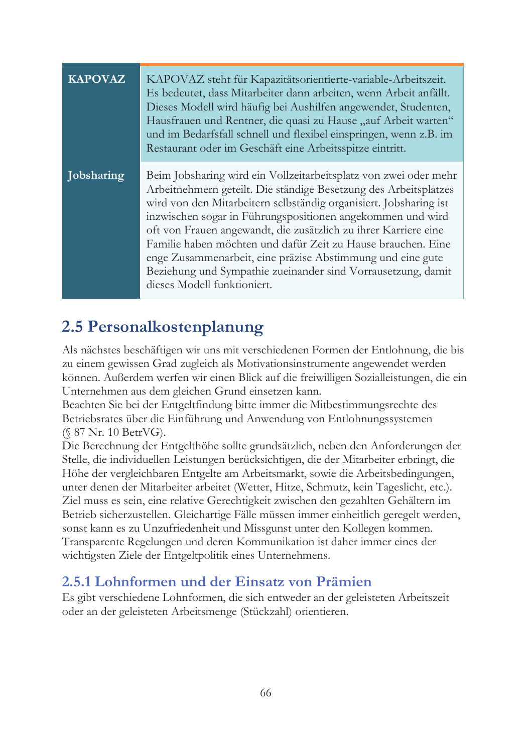| <b>KAPOVAZ</b> | KAPOVAZ steht für Kapazitätsorientierte-variable-Arbeitszeit.<br>Es bedeutet, dass Mitarbeiter dann arbeiten, wenn Arbeit anfällt.<br>Dieses Modell wird häufig bei Aushilfen angewendet, Studenten,<br>Hausfrauen und Rentner, die quasi zu Hause "auf Arbeit warten"<br>und im Bedarfsfall schnell und flexibel einspringen, wenn z.B. im<br>Restaurant oder im Geschäft eine Arbeitsspitze eintritt.                                                                                                                                                                 |
|----------------|-------------------------------------------------------------------------------------------------------------------------------------------------------------------------------------------------------------------------------------------------------------------------------------------------------------------------------------------------------------------------------------------------------------------------------------------------------------------------------------------------------------------------------------------------------------------------|
| Jobsharing     | Beim Jobsharing wird ein Vollzeitarbeitsplatz von zwei oder mehr<br>Arbeitnehmern geteilt. Die ständige Besetzung des Arbeitsplatzes<br>wird von den Mitarbeitern selbständig organisiert. Jobsharing ist<br>inzwischen sogar in Führungspositionen angekommen und wird<br>oft von Frauen angewandt, die zusätzlich zu ihrer Karriere eine<br>Familie haben möchten und dafür Zeit zu Hause brauchen. Eine<br>enge Zusammenarbeit, eine präzise Abstimmung und eine gute<br>Beziehung und Sympathie zueinander sind Vorrausetzung, damit<br>dieses Modell funktioniert. |

### 2.5 Personalkostenplanung

Als nächstes beschäftigen wir uns mit verschiedenen Formen der Entlohnung, die bis zu einem gewissen Grad zugleich als Motivationsinstrumente angewendet werden können. Außerdem werfen wir einen Blick auf die freiwilligen Sozialleistungen, die ein Unternehmen aus dem gleichen Grund einsetzen kann.

Beachten Sie bei der Entgeltfindung bitte immer die Mitbestimmungsrechte des Betriebsrates über die Einführung und Anwendung von Entlohnungssystemen  $(S 87 Nr. 10 BertVG).$ 

Die Berechnung der Entgelthöhe sollte grundsätzlich, neben den Anforderungen der Stelle, die individuellen Leistungen berücksichtigen, die der Mitarbeiter erbringt, die Höhe der vergleichbaren Entgelte am Arbeitsmarkt, sowie die Arbeitsbedingungen, unter denen der Mitarbeiter arbeitet (Wetter, Hitze, Schmutz, kein Tageslicht, etc.). Ziel muss es sein, eine relative Gerechtigkeit zwischen den gezahlten Gehältern im Betrieb sicherzustellen. Gleichartige Fälle müssen immer einheitlich geregelt werden, sonst kann es zu Unzufriedenheit und Missgunst unter den Kollegen kommen. Transparente Regelungen und deren Kommunikation ist daher immer eines der wichtigsten Ziele der Entgeltpolitik eines Unternehmens.

#### 2.5.1 Lohnformen und der Einsatz von Prämien

Es gibt verschiedene Lohnformen, die sich entweder an der geleisteten Arbeitszeit oder an der geleisteten Arbeitsmenge (Stückzahl) orientieren.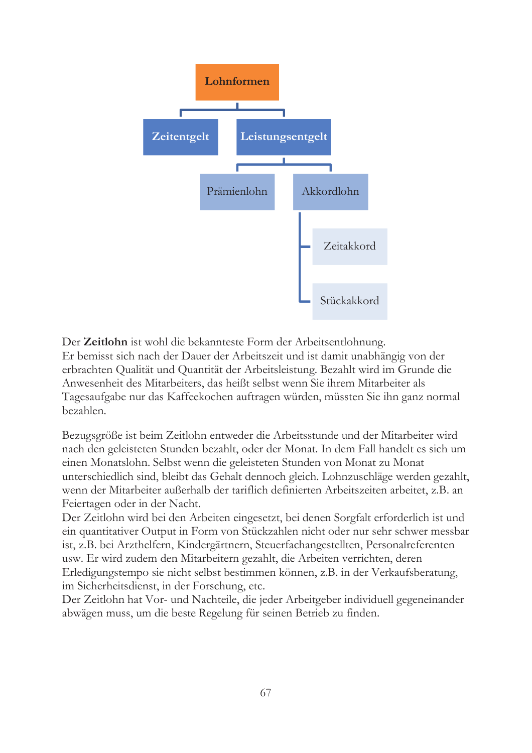

Der Zeitlohn ist wohl die bekannteste Form der Arbeitsentlohnung. Er bemisst sich nach der Dauer der Arbeitszeit und ist damit unabhängig von der erbrachten Qualität und Quantität der Arbeitsleistung. Bezahlt wird im Grunde die Anwesenheit des Mitarbeiters, das heißt selbst wenn Sie ihrem Mitarbeiter als Tagesaufgabe nur das Kaffeekochen auftragen würden, müssten Sie ihn ganz normal bezahlen.

Bezugsgröße ist beim Zeitlohn entweder die Arbeitsstunde und der Mitarbeiter wird nach den geleisteten Stunden bezahlt, oder der Monat. In dem Fall handelt es sich um einen Monatslohn. Selbst wenn die geleisteten Stunden von Monat zu Monat unterschiedlich sind, bleibt das Gehalt dennoch gleich. Lohnzuschläge werden gezahlt, wenn der Mitarbeiter außerhalb der tariflich definierten Arbeitszeiten arbeitet, z.B. an Feiertagen oder in der Nacht.

Der Zeitlohn wird bei den Arbeiten eingesetzt, bei denen Sorgfalt erforderlich ist und ein quantitativer Output in Form von Stückzahlen nicht oder nur sehr schwer messbar ist, z.B. bei Arzthelfern, Kindergärtnern, Steuerfachangestellten, Personalreferenten usw. Er wird zudem den Mitarbeitern gezahlt, die Arbeiten verrichten, deren Erledigungstempo sie nicht selbst bestimmen können, z.B. in der Verkaufsberatung, im Sicherheitsdienst, in der Forschung, etc.

Der Zeitlohn hat Vor- und Nachteile, die jeder Arbeitgeber individuell gegeneinander abwägen muss, um die beste Regelung für seinen Betrieb zu finden.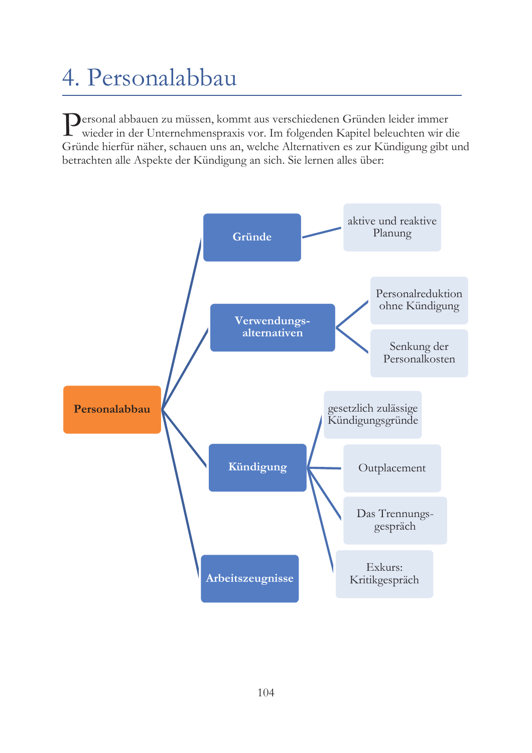# 4. Personalabbau

Dersonal abbauen zu müssen, kommt aus verschiedenen Gründen leider immer wieder in der Unternehmenspraxis vor. Im folgenden Kapitel beleuchten wir die Gründe hierfür näher, schauen uns an, welche Alternativen es zur Kündigung gibt und betrachten alle Aspekte der Kündigung an sich. Sie lernen alles über:

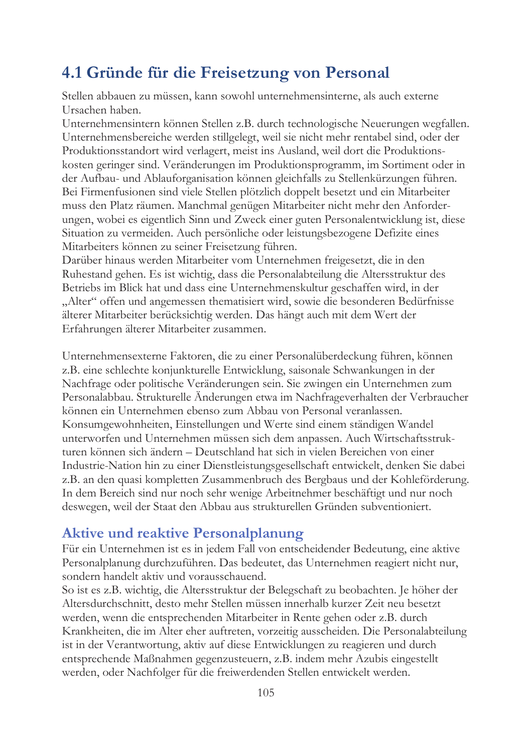### 4.1 Gründe für die Freisetzung von Personal

Stellen abbauen zu müssen, kann sowohl unternehmensinterne, als auch externe Ursachen haben.

Unternehmensintern können Stellen z.B. durch technologische Neuerungen wegfallen. Unternehmensbereiche werden stillgelegt, weil sie nicht mehr rentabel sind, oder der Produktionsstandort wird verlagert, meist ins Ausland, weil dort die Produktionskosten geringer sind. Veränderungen im Produktionsprogramm, im Sortiment oder in der Aufbau- und Ablauforganisation können gleichfalls zu Stellenkürzungen führen. Bei Firmenfusionen sind viele Stellen plötzlich doppelt besetzt und ein Mitarbeiter muss den Platz räumen. Manchmal genügen Mitarbeiter nicht mehr den Anforderungen, wobei es eigentlich Sinn und Zweck einer guten Personalentwicklung ist, diese Situation zu vermeiden. Auch persönliche oder leistungsbezogene Defizite eines Mitarbeiters können zu seiner Freisetzung führen.

Darüber hinaus werden Mitarbeiter vom Unternehmen freigesetzt, die in den Ruhestand gehen. Es ist wichtig, dass die Personalabteilung die Altersstruktur des Betriebs im Blick hat und dass eine Unternehmenskultur geschaffen wird, in der "Alter" offen und angemessen thematisiert wird, sowie die besonderen Bedürfnisse älterer Mitarbeiter berücksichtig werden. Das hängt auch mit dem Wert der Erfahrungen älterer Mitarbeiter zusammen.

Unternehmensexterne Faktoren, die zu einer Personalüberdeckung führen, können z.B. eine schlechte konjunkturelle Entwicklung, saisonale Schwankungen in der Nachfrage oder politische Veränderungen sein. Sie zwingen ein Unternehmen zum Personalabbau. Strukturelle Änderungen etwa im Nachfrageverhalten der Verbraucher können ein Unternehmen ebenso zum Abbau von Personal veranlassen. Konsumgewohnheiten, Einstellungen und Werte sind einem ständigen Wandel unterworfen und Unternehmen müssen sich dem anpassen. Auch Wirtschaftsstrukturen können sich ändern - Deutschland hat sich in vielen Bereichen von einer Industrie-Nation hin zu einer Dienstleistungsgesellschaft entwickelt, denken Sie dabei z.B. an den quasi kompletten Zusammenbruch des Bergbaus und der Kohleförderung. In dem Bereich sind nur noch sehr wenige Arbeitnehmer beschäftigt und nur noch deswegen, weil der Staat den Abbau aus strukturellen Gründen subventioniert.

#### **Aktive und reaktive Personalplanung**

Für ein Unternehmen ist es in jedem Fall von entscheidender Bedeutung, eine aktive Personalplanung durchzuführen. Das bedeutet, das Unternehmen reagiert nicht nur, sondern handelt aktiv und vorausschauend.

So ist es z.B. wichtig, die Altersstruktur der Belegschaft zu beobachten. Je höher der Altersdurchschnitt, desto mehr Stellen müssen innerhalb kurzer Zeit neu besetzt werden, wenn die entsprechenden Mitarbeiter in Rente gehen oder z.B. durch Krankheiten, die im Alter eher auftreten, vorzeitig ausscheiden. Die Personalabteilung ist in der Verantwortung, aktiv auf diese Entwicklungen zu reagieren und durch entsprechende Maßnahmen gegenzusteuern, z.B. indem mehr Azubis eingestellt werden, oder Nachfolger für die freiwerdenden Stellen entwickelt werden.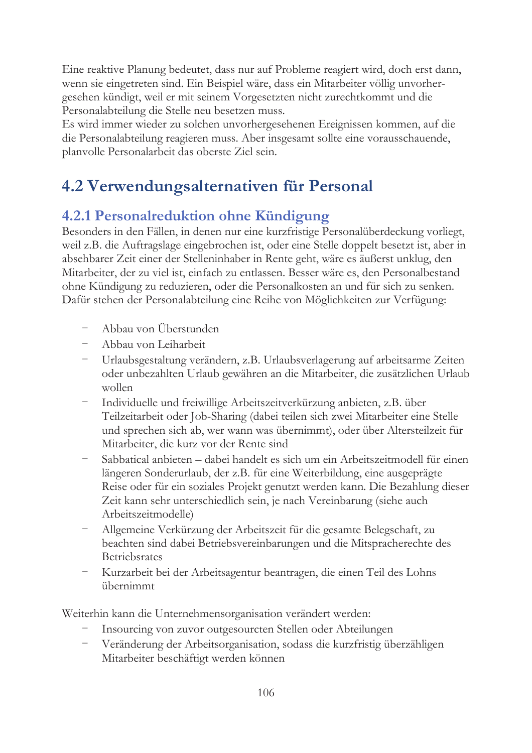Eine reaktive Planung bedeutet, dass nur auf Probleme reagiert wird, doch erst dann, wenn sie eingetreten sind. Ein Beispiel wäre, dass ein Mitarbeiter völlig unvorhergesehen kündigt, weil er mit seinem Vorgesetzten nicht zurechtkommt und die Personalabteilung die Stelle neu besetzen muss.

Es wird immer wieder zu solchen unvorhergesehenen Ereignissen kommen, auf die die Personalabteilung reagieren muss. Aber insgesamt sollte eine vorausschauende, planvolle Personalarbeit das oberste Ziel sein.

## 4.2 Verwendungsalternativen für Personal

### 4.2.1 Personalreduktion ohne Kündigung

Besonders in den Fällen, in denen nur eine kurzfristige Personalüberdeckung vorliegt, weil z.B. die Auftragslage eingebrochen ist, oder eine Stelle doppelt besetzt ist, aber in absehbarer Zeit einer der Stelleninhaber in Rente geht, wäre es äußerst unklug, den Mitarbeiter, der zu viel ist, einfach zu entlassen. Besser wäre es, den Personalbestand ohne Kündigung zu reduzieren, oder die Personalkosten an und für sich zu senken. Dafür stehen der Personalabteilung eine Reihe von Möglichkeiten zur Verfügung:

- Abbau von Überstunden
- Abbau von Leiharbeit
- Urlaubsgestaltung verändern, z.B. Urlaubsverlagerung auf arbeitsarme Zeiten oder unbezahlten Urlaub gewähren an die Mitarbeiter, die zusätzlichen Urlaub wollen
- Individuelle und freiwillige Arbeitszeitverkürzung anbieten, z.B. über Teilzeitarbeit oder Job-Sharing (dabei teilen sich zwei Mitarbeiter eine Stelle und sprechen sich ab, wer wann was übernimmt), oder über Altersteilzeit für Mitarbeiter, die kurz vor der Rente sind
- Sabbatical anbieten dabei handelt es sich um ein Arbeitszeitmodell für einen längeren Sonderurlaub, der z.B. für eine Weiterbildung, eine ausgeprägte Reise oder für ein soziales Projekt genutzt werden kann. Die Bezahlung dieser Zeit kann sehr unterschiedlich sein, je nach Vereinbarung (siehe auch Arbeitszeitmodelle)
- Allgemeine Verkürzung der Arbeitszeit für die gesamte Belegschaft, zu beachten sind dabei Betriebsvereinbarungen und die Mitspracherechte des **Betriebsrates**
- Kurzarbeit bei der Arbeitsagentur beantragen, die einen Teil des Lohns übernimmt

Weiterhin kann die Unternehmensorganisation verändert werden:

- Insourcing von zuvor outgesourcten Stellen oder Abteilungen
- Veränderung der Arbeitsorganisation, sodass die kurzfristig überzähligen Mitarbeiter beschäftigt werden können